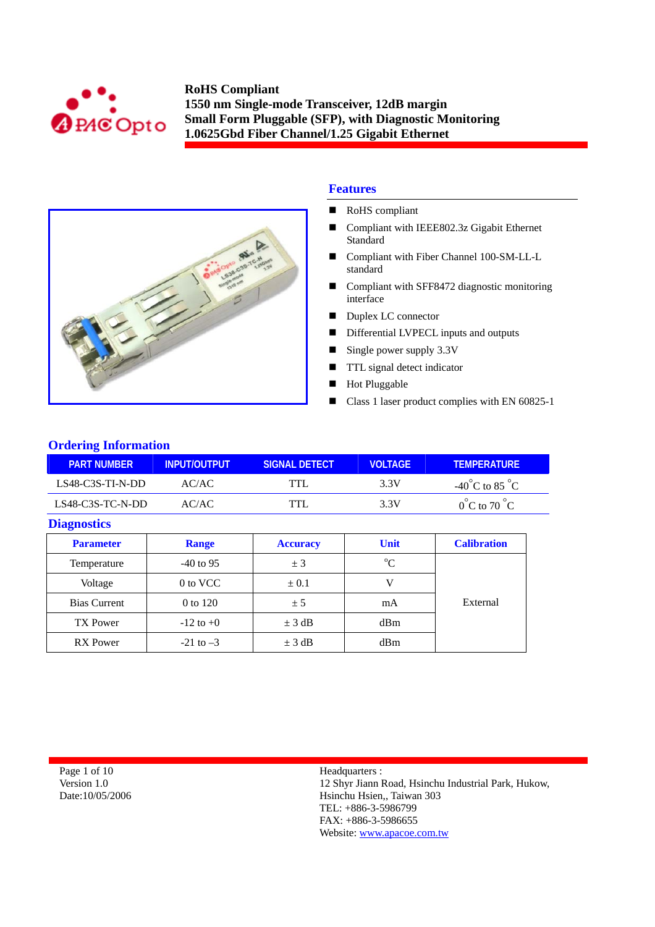



## **Features**

- RoHS compliant
- Compliant with IEEE802.3z Gigabit Ethernet **Standard**
- Compliant with Fiber Channel 100-SM-LL-L standard
- Compliant with SFF8472 diagnostic monitoring interface
- Duplex LC connector
- Differential LVPECL inputs and outputs
- $\blacksquare$  Single power supply 3.3V
- **TTL** signal detect indicator
- **Hot Pluggable**
- Class 1 laser product complies with EN 60825-1

## **Ordering Information**

| <b>PART NUMBER</b> | INPUT/OUTPUT | SIGNAL DETECT | <b>VOLTAGE</b> | <b>TEMPERATURE</b>                 |
|--------------------|--------------|---------------|----------------|------------------------------------|
| LS48-C3S-TI-N-DD   | AC/AC        | TTL           | 3.3V           | $-40^{\circ}$ C to 85 $^{\circ}$ C |
| $LS48-C3S-TC-N-DD$ | AC/AC        | TTL           | 3.3V           | $0^{\circ}$ C to 70 $^{\circ}$ C   |

### **Diagnostics**

| <b>Parameter</b>    | <b>Range</b>  | <b>Accuracy</b> | <b>Unit</b> | <b>Calibration</b> |
|---------------------|---------------|-----------------|-------------|--------------------|
| Temperature         | $-40$ to 95   | ± 3             | $\rm ^{o}C$ |                    |
| Voltage             | 0 to VCC      | $\pm 0.1$       |             |                    |
| <b>Bias Current</b> | 0 to 120      | ± 5             | mA          | External           |
| <b>TX Power</b>     | $-12$ to $+0$ | $\pm$ 3 dB      | dBm         |                    |
| <b>RX</b> Power     | $-21$ to $-3$ | $\pm$ 3 dB      | dBm         |                    |

Page 1 of 10 Version 1.0 Date:10/05/2006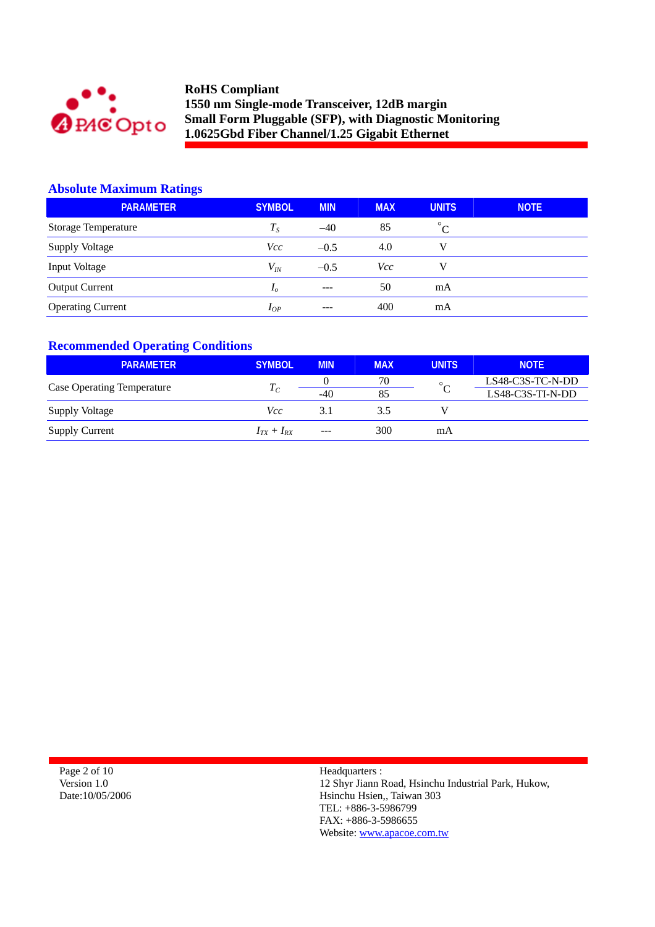

## **Absolute Maximum Ratings**

| <b>PARAMETER</b>         | <b>SYMBOL</b>  | <b>MIN</b> | <b>MAX</b> | <b>UNITS</b> | <b>NOTE</b> |
|--------------------------|----------------|------------|------------|--------------|-------------|
| Storage Temperature      | $T_{S}$        | $-40$      | 85         | $^{\circ}C$  |             |
| <b>Supply Voltage</b>    | Vcc            | $-0.5$     | 4.0        | V            |             |
| Input Voltage            | $V_{lN}$       | $-0.5$     | Vcc        | v            |             |
| <b>Output Current</b>    | I <sub>o</sub> | $---$      | 50         | mA           |             |
| <b>Operating Current</b> | $I_{OP}$       | $---$      | 400        | mA           |             |

## **Recommended Operating Conditions**

| <b>PARAMETER</b>                  | <b>SYMBOL</b>   | <b>MIN</b> | <b>MAX</b> | <b>UNITS</b> | <b>NOTE</b>      |
|-----------------------------------|-----------------|------------|------------|--------------|------------------|
| <b>Case Operating Temperature</b> | $T_C$           |            | 70         | $\circ$      | LS48-C3S-TC-N-DD |
|                                   |                 | $-40$      | 85         |              | LS48-C3S-TI-N-DD |
| Supply Voltage                    | Vcc             | 3.1        | 3.5        |              |                  |
| <b>Supply Current</b>             | $I_{TX}+I_{RX}$ | $---$      | 300        | mA           |                  |

| Page 2 of 10    |
|-----------------|
| Version 1.0     |
| Date:10/05/2006 |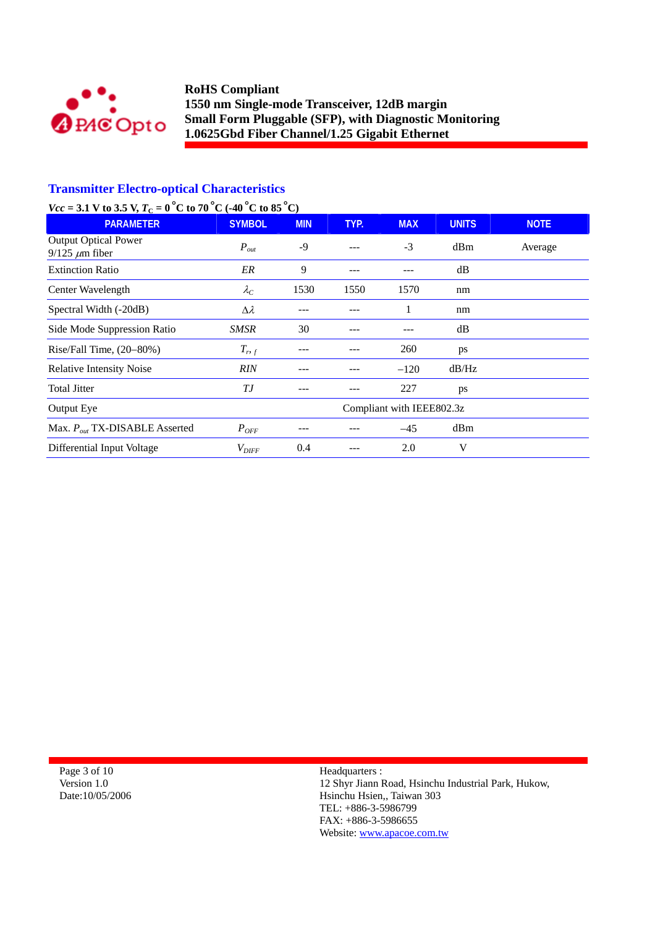

## **Transmitter Electro-optical Characteristics**

# *Vcc* = 3.1 V to 3.5 V,  $T_c = 0^\circ$ C to 70 °C (-40 °C to 85 °C)

| <b>PARAMETER</b>                                     | <b>SYMBOL</b>     | <b>MIN</b> | TYP. | <b>MAX</b>                | <b>UNITS</b> | <b>NOTE</b> |
|------------------------------------------------------|-------------------|------------|------|---------------------------|--------------|-------------|
| <b>Output Optical Power</b><br>$9/125 \ \mu m$ fiber | $P_{out}$         | -9         | ---  | $-3$                      | dBm          | Average     |
| <b>Extinction Ratio</b>                              | ER                | 9          | ---  |                           | dB           |             |
| Center Wavelength                                    | $\lambda_C$       | 1530       | 1550 | 1570                      | nm           |             |
| Spectral Width (-20dB)                               | $\Delta \lambda$  |            |      | 1                         | nm           |             |
| Side Mode Suppression Ratio                          | SMSR              | 30         | ---  |                           | dB           |             |
| Rise/Fall Time, $(20-80%)$                           | $T_{r,f}$         |            |      | 260                       | ps           |             |
| <b>Relative Intensity Noise</b>                      | <b>RIN</b>        |            |      | $-120$                    | dB/Hz        |             |
| <b>Total Jitter</b>                                  | ТJ                |            | ---  | 227                       | ps           |             |
| Output Eye                                           |                   |            |      | Compliant with IEEE802.3z |              |             |
| Max. $P_{out}$ TX-DISABLE Asserted                   | $P_{OFF}$         |            |      | $-45$                     | dBm          |             |
| Differential Input Voltage                           | $V_{\text{DIFF}}$ | 0.4        |      | 2.0                       | V            |             |

Page 3 of 10 Version 1.0 Date:10/05/2006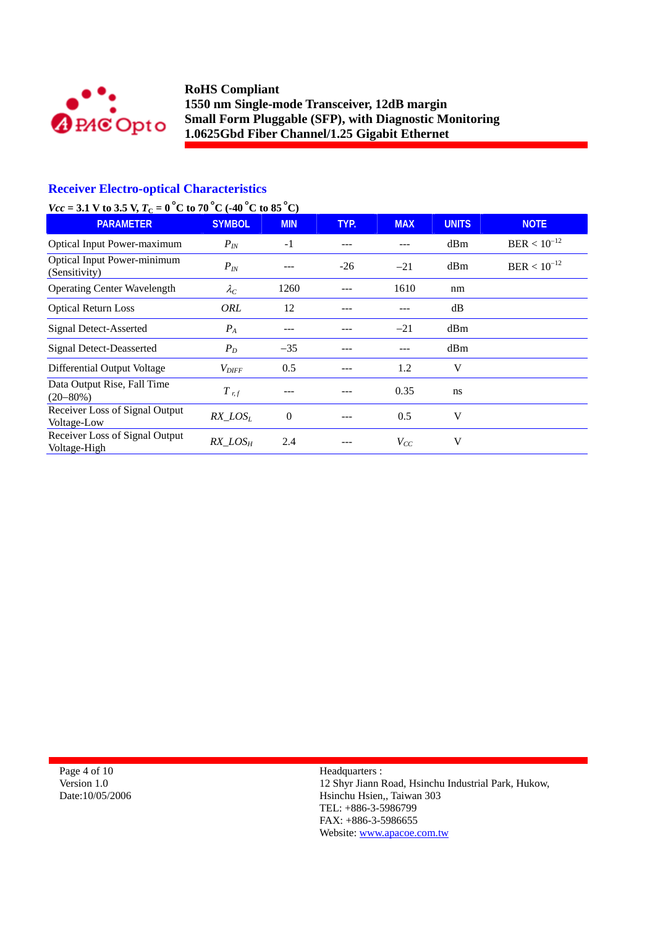

# **Receiver Electro-optical Characteristics**

# *Vcc* = 3.1 V to 3.5 V,  $T_c = 0^\circ$ C to 70 °C (-40 °C to 85 °C)

| <b>PARAMETER</b>                                    | <b>SYMBOL</b>     | <b>MIN</b> | TYP.  | <b>MAX</b> | <b>UNITS</b> | <b>NOTE</b>      |
|-----------------------------------------------------|-------------------|------------|-------|------------|--------------|------------------|
| <b>Optical Input Power-maximum</b>                  | $P_{IN}$          | $-1$       |       |            | dBm          | $BER < 10^{-12}$ |
| <b>Optical Input Power-minimum</b><br>(Sensitivity) | $P_{IN}$          |            | $-26$ | $-21$      | dBm          | $BER < 10^{-12}$ |
| <b>Operating Center Wavelength</b>                  | $\lambda_C$       | 1260       |       | 1610       | nm           |                  |
| <b>Optical Return Loss</b>                          | ORL               | 12         |       |            | dB           |                  |
| <b>Signal Detect-Asserted</b>                       | $P_A$             | ---        |       | $-21$      | dBm          |                  |
| Signal Detect-Deasserted                            | $P_D$             | $-35$      |       |            | dBm          |                  |
| Differential Output Voltage                         | $V_{\text{DIFF}}$ | 0.5        | ---   | 1.2        | V            |                  |
| Data Output Rise, Fall Time<br>$(20 - 80\%)$        | $T$ r, f          |            |       | 0.35       | ns           |                  |
| Receiver Loss of Signal Output<br>Voltage-Low       | $RX$ $LOS_L$      | $\Omega$   |       | 0.5        | V            |                  |
| Receiver Loss of Signal Output<br>Voltage-High      | $RX\_LOS_H$       | 2.4        |       | $V_{CC}$   | V            |                  |

Page 4 of 10 Version 1.0 Date:10/05/2006 Headquarters : 12 Shyr Jiann Road, Hsinchu Industrial Park, Hukow, Hsinchu Hsien,, Taiwan 303 TEL: +886-3-5986799 FAX: +886-3-5986655

Website: www.apacoe.com.tw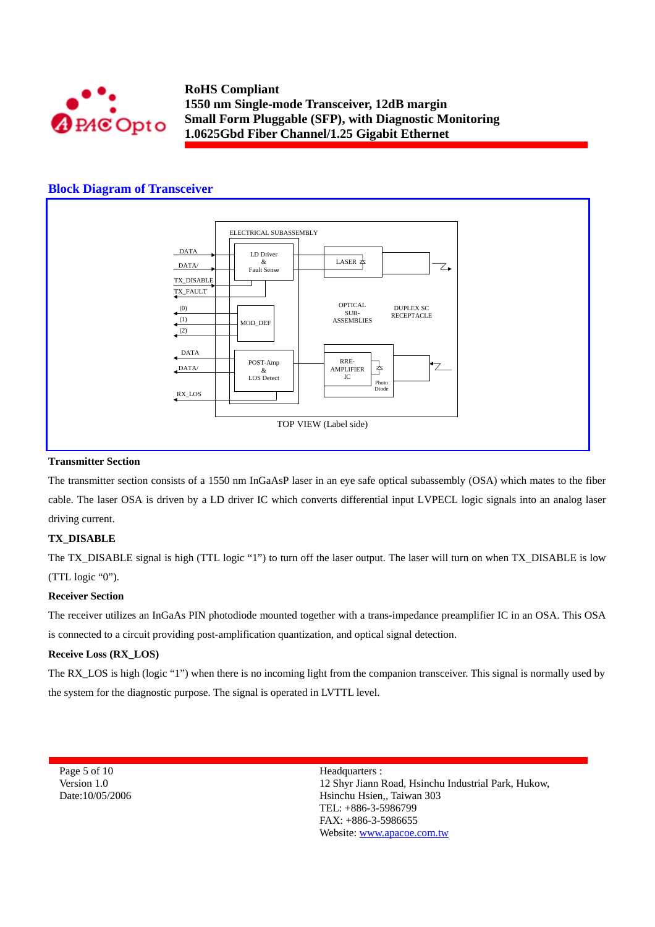

### **Block Diagram of Transceiver**



#### **Transmitter Section**

The transmitter section consists of a 1550 nm InGaAsP laser in an eye safe optical subassembly (OSA) which mates to the fiber cable. The laser OSA is driven by a LD driver IC which converts differential input LVPECL logic signals into an analog laser driving current.

#### **TX\_DISABLE**

The TX\_DISABLE signal is high (TTL logic "1") to turn off the laser output. The laser will turn on when TX\_DISABLE is low (TTL logic "0").

#### **Receiver Section**

The receiver utilizes an InGaAs PIN photodiode mounted together with a trans-impedance preamplifier IC in an OSA. This OSA is connected to a circuit providing post-amplification quantization, and optical signal detection.

#### **Receive Loss (RX\_LOS)**

The RX\_LOS is high (logic "1") when there is no incoming light from the companion transceiver. This signal is normally used by the system for the diagnostic purpose. The signal is operated in LVTTL level.

Page 5 of 10 Version 1.0 Date:10/05/2006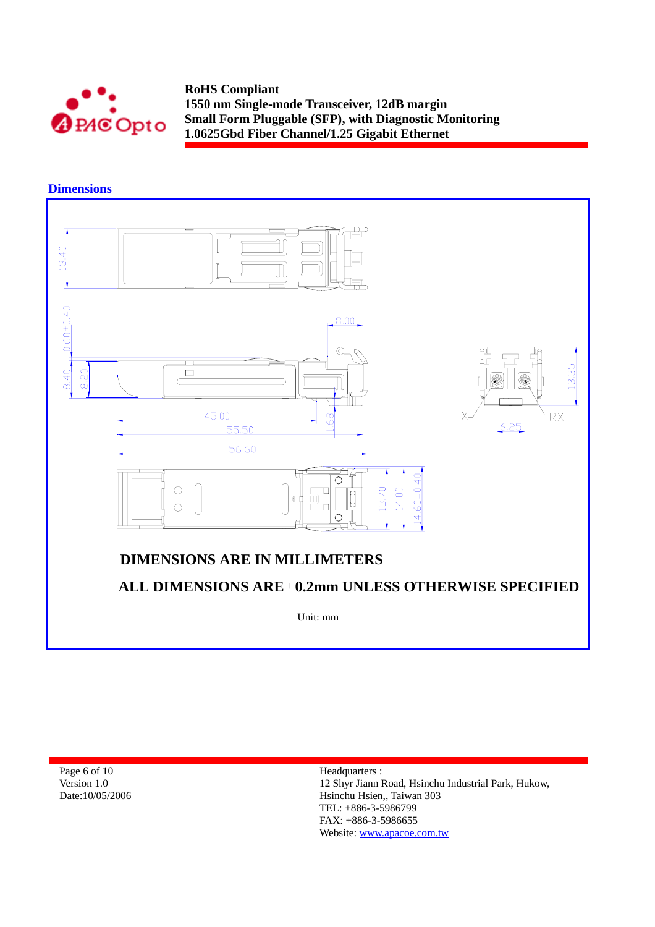

**Dimensions** 



Page 6 of 10 Version 1.0 Date:10/05/2006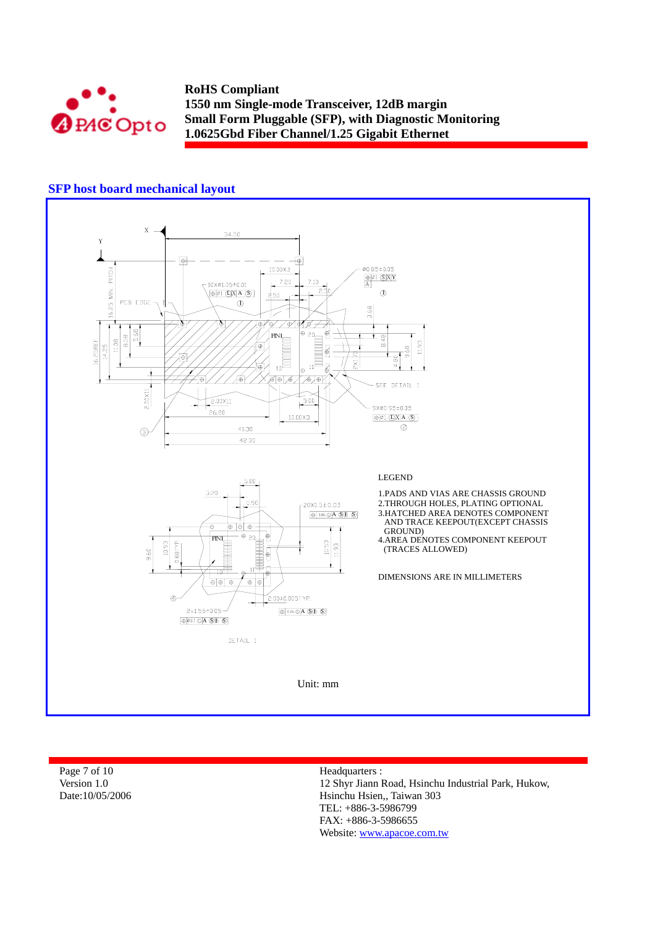

## **SFP host board mechanical layout**



| Page 7 of 10    | Headquarters :                                      |
|-----------------|-----------------------------------------------------|
| Version 1.0     | 12 Shyr Jiann Road, Hsinchu Industrial Park, Hukow, |
| Date:10/05/2006 | Hsinchu Hsien., Taiwan 303<br>TEL: $+886-3-5986799$ |

FAX: +886-3-5986655 Website: www.apacoe.com.tw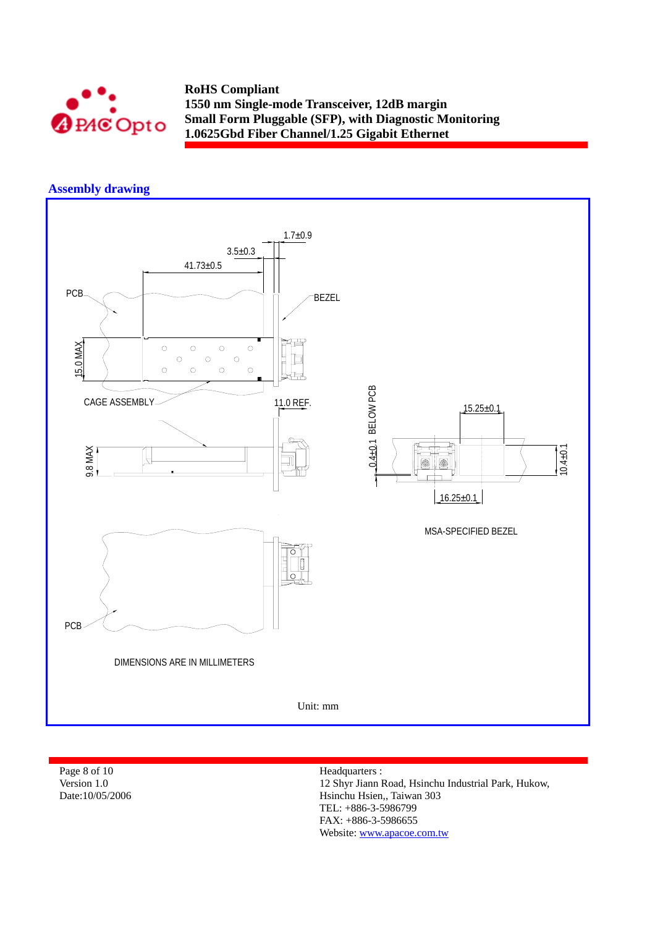

## **Assembly drawing**



Page 8 of 10 Version 1.0 Date:10/05/2006 Headquarters :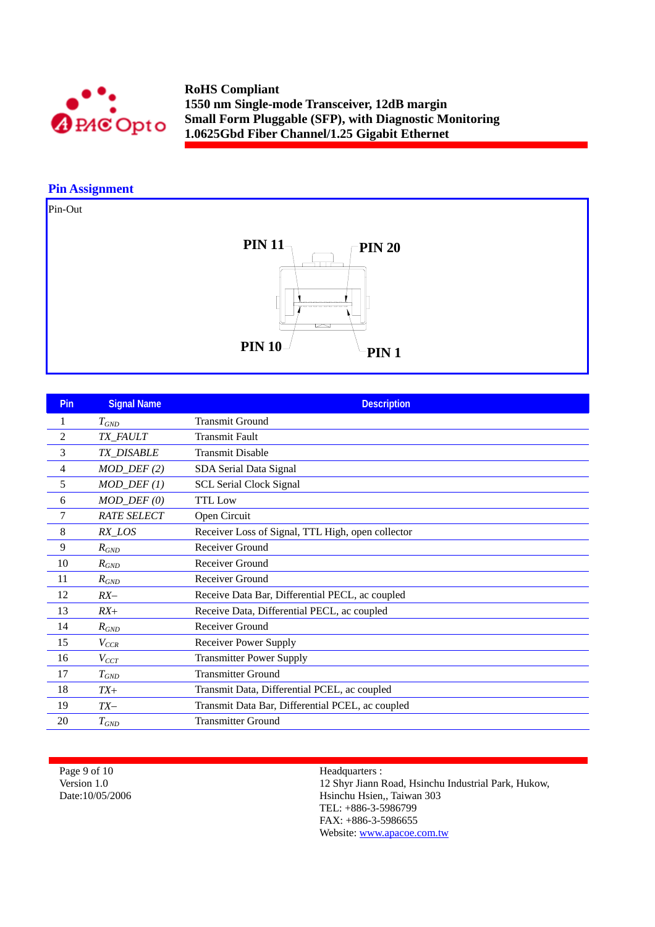

## **Pin Assignment**

Pin-Out



| Pin            | <b>Signal Name</b> | <b>Description</b>                                |
|----------------|--------------------|---------------------------------------------------|
| 1              | $T_{GND}$          | <b>Transmit Ground</b>                            |
| $\overline{c}$ | TX_FAULT           | <b>Transmit Fault</b>                             |
| 3              | TX_DISABLE         | <b>Transmit Disable</b>                           |
| 4              | $MOD_DEF(2)$       | SDA Serial Data Signal                            |
| 5              | $MOD_DEF(1)$       | <b>SCL Serial Clock Signal</b>                    |
| 6              | $MOD_$ $DEF (0)$   | <b>TTL</b> Low                                    |
| 7              | <b>RATE SELECT</b> | Open Circuit                                      |
| 8              | RX_LOS             | Receiver Loss of Signal, TTL High, open collector |
| 9              | $R_{GND}$          | Receiver Ground                                   |
| 10             | $R_{GND}$          | <b>Receiver Ground</b>                            |
| 11             | $R_{GND}$          | Receiver Ground                                   |
| 12             | $RX-$              | Receive Data Bar, Differential PECL, ac coupled   |
| 13             | $RX+$              | Receive Data, Differential PECL, ac coupled       |
| 14             | $R_{GND}$          | Receiver Ground                                   |
| 15             | $V_{CCR}$          | <b>Receiver Power Supply</b>                      |
| 16             | $V_{CCT}$          | <b>Transmitter Power Supply</b>                   |
| 17             | $T_{GND}$          | <b>Transmitter Ground</b>                         |
| 18             | $TX+$              | Transmit Data, Differential PCEL, ac coupled      |
| 19             | $TX-$              | Transmit Data Bar, Differential PCEL, ac coupled  |
| 20             | $T_{GND}$          | <b>Transmitter Ground</b>                         |

Page 9 of 10 Version 1.0 Date:10/05/2006